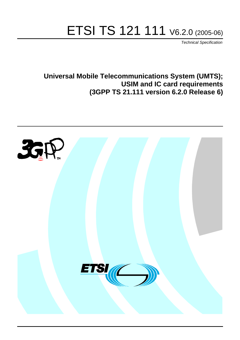# ETSI TS 121 111 V6.2.0 (2005-06)

Technical Specification

**Universal Mobile Telecommunications System (UMTS); USIM and IC card requirements (3GPP TS 21.111 version 6.2.0 Release 6)**

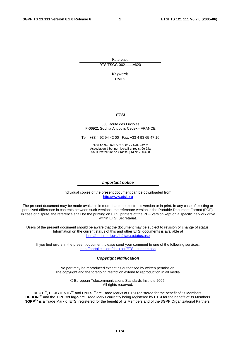Reference RTS/TSGC-0621111v620

> Keywords UMTS

#### **ETSI**

#### 650 Route des Lucioles F-06921 Sophia Antipolis Cedex - FRANCE

Tel.: +33 4 92 94 42 00 Fax: +33 4 93 65 47 16

Siret N° 348 623 562 00017 - NAF 742 C Association à but non lucratif enregistrée à la Sous-Préfecture de Grasse (06) N° 7803/88

#### **Important notice**

Individual copies of the present document can be downloaded from: [http://www.etsi.org](http://www.etsi.org/)

The present document may be made available in more than one electronic version or in print. In any case of existing or perceived difference in contents between such versions, the reference version is the Portable Document Format (PDF). In case of dispute, the reference shall be the printing on ETSI printers of the PDF version kept on a specific network drive within ETSI Secretariat.

Users of the present document should be aware that the document may be subject to revision or change of status. Information on the current status of this and other ETSI documents is available at <http://portal.etsi.org/tb/status/status.asp>

If you find errors in the present document, please send your comment to one of the following services: [http://portal.etsi.org/chaircor/ETSI\\_support.asp](http://portal.etsi.org/chaircor/ETSI_support.asp)

#### **Copyright Notification**

No part may be reproduced except as authorized by written permission. The copyright and the foregoing restriction extend to reproduction in all media.

> © European Telecommunications Standards Institute 2005. All rights reserved.

**DECT**TM, **PLUGTESTS**TM and **UMTS**TM are Trade Marks of ETSI registered for the benefit of its Members. **TIPHON**TM and the **TIPHON logo** are Trade Marks currently being registered by ETSI for the benefit of its Members. **3GPP**TM is a Trade Mark of ETSI registered for the benefit of its Members and of the 3GPP Organizational Partners.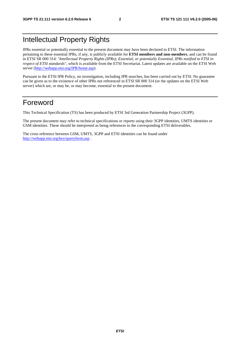## Intellectual Property Rights

IPRs essential or potentially essential to the present document may have been declared to ETSI. The information pertaining to these essential IPRs, if any, is publicly available for **ETSI members and non-members**, and can be found in ETSI SR 000 314: *"Intellectual Property Rights (IPRs); Essential, or potentially Essential, IPRs notified to ETSI in respect of ETSI standards"*, which is available from the ETSI Secretariat. Latest updates are available on the ETSI Web server ([http://webapp.etsi.org/IPR/home.asp\)](http://webapp.etsi.org/IPR/home.asp).

Pursuant to the ETSI IPR Policy, no investigation, including IPR searches, has been carried out by ETSI. No guarantee can be given as to the existence of other IPRs not referenced in ETSI SR 000 314 (or the updates on the ETSI Web server) which are, or may be, or may become, essential to the present document.

### Foreword

This Technical Specification (TS) has been produced by ETSI 3rd Generation Partnership Project (3GPP).

The present document may refer to technical specifications or reports using their 3GPP identities, UMTS identities or GSM identities. These should be interpreted as being references to the corresponding ETSI deliverables.

The cross reference between GSM, UMTS, 3GPP and ETSI identities can be found under <http://webapp.etsi.org/key/queryform.asp>.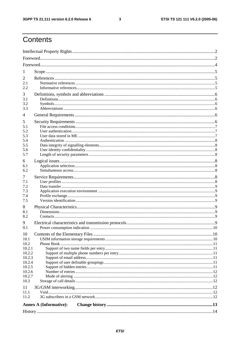$\mathbf{3}$ 

# Contents

| 1<br>2<br>2.1<br>2.2<br>3<br>3.1<br>3.2<br>3.3<br>4<br>5<br>5.1<br>5.2<br>5.3<br>5.4<br>5.5<br>5.6<br>5.7<br>6<br>6.1<br>6.2<br>7<br>7.1<br>7.2<br>7.3<br>7.4<br>7.5<br>8<br>8.1<br>8.2<br>9<br>9.1<br>10<br>10.1<br>10.2<br>10.2.1<br>10.2.2<br>10.2.3<br>10.2.4<br>10.2.5<br>10.2.6<br>10.2.7<br>10.3<br>11<br>11.1<br>11.2<br><b>Annex A (Informative):</b> |  |  |  |  |  |  |
|----------------------------------------------------------------------------------------------------------------------------------------------------------------------------------------------------------------------------------------------------------------------------------------------------------------------------------------------------------------|--|--|--|--|--|--|
|                                                                                                                                                                                                                                                                                                                                                                |  |  |  |  |  |  |
|                                                                                                                                                                                                                                                                                                                                                                |  |  |  |  |  |  |
|                                                                                                                                                                                                                                                                                                                                                                |  |  |  |  |  |  |
|                                                                                                                                                                                                                                                                                                                                                                |  |  |  |  |  |  |
|                                                                                                                                                                                                                                                                                                                                                                |  |  |  |  |  |  |
|                                                                                                                                                                                                                                                                                                                                                                |  |  |  |  |  |  |
|                                                                                                                                                                                                                                                                                                                                                                |  |  |  |  |  |  |
|                                                                                                                                                                                                                                                                                                                                                                |  |  |  |  |  |  |
|                                                                                                                                                                                                                                                                                                                                                                |  |  |  |  |  |  |
|                                                                                                                                                                                                                                                                                                                                                                |  |  |  |  |  |  |
|                                                                                                                                                                                                                                                                                                                                                                |  |  |  |  |  |  |
|                                                                                                                                                                                                                                                                                                                                                                |  |  |  |  |  |  |
|                                                                                                                                                                                                                                                                                                                                                                |  |  |  |  |  |  |
|                                                                                                                                                                                                                                                                                                                                                                |  |  |  |  |  |  |
|                                                                                                                                                                                                                                                                                                                                                                |  |  |  |  |  |  |
|                                                                                                                                                                                                                                                                                                                                                                |  |  |  |  |  |  |
|                                                                                                                                                                                                                                                                                                                                                                |  |  |  |  |  |  |
|                                                                                                                                                                                                                                                                                                                                                                |  |  |  |  |  |  |
|                                                                                                                                                                                                                                                                                                                                                                |  |  |  |  |  |  |
|                                                                                                                                                                                                                                                                                                                                                                |  |  |  |  |  |  |
|                                                                                                                                                                                                                                                                                                                                                                |  |  |  |  |  |  |
|                                                                                                                                                                                                                                                                                                                                                                |  |  |  |  |  |  |
|                                                                                                                                                                                                                                                                                                                                                                |  |  |  |  |  |  |
|                                                                                                                                                                                                                                                                                                                                                                |  |  |  |  |  |  |
|                                                                                                                                                                                                                                                                                                                                                                |  |  |  |  |  |  |
|                                                                                                                                                                                                                                                                                                                                                                |  |  |  |  |  |  |
|                                                                                                                                                                                                                                                                                                                                                                |  |  |  |  |  |  |
|                                                                                                                                                                                                                                                                                                                                                                |  |  |  |  |  |  |
|                                                                                                                                                                                                                                                                                                                                                                |  |  |  |  |  |  |
|                                                                                                                                                                                                                                                                                                                                                                |  |  |  |  |  |  |
|                                                                                                                                                                                                                                                                                                                                                                |  |  |  |  |  |  |
|                                                                                                                                                                                                                                                                                                                                                                |  |  |  |  |  |  |
|                                                                                                                                                                                                                                                                                                                                                                |  |  |  |  |  |  |
|                                                                                                                                                                                                                                                                                                                                                                |  |  |  |  |  |  |
|                                                                                                                                                                                                                                                                                                                                                                |  |  |  |  |  |  |
|                                                                                                                                                                                                                                                                                                                                                                |  |  |  |  |  |  |
|                                                                                                                                                                                                                                                                                                                                                                |  |  |  |  |  |  |
|                                                                                                                                                                                                                                                                                                                                                                |  |  |  |  |  |  |
|                                                                                                                                                                                                                                                                                                                                                                |  |  |  |  |  |  |
|                                                                                                                                                                                                                                                                                                                                                                |  |  |  |  |  |  |
|                                                                                                                                                                                                                                                                                                                                                                |  |  |  |  |  |  |
|                                                                                                                                                                                                                                                                                                                                                                |  |  |  |  |  |  |
|                                                                                                                                                                                                                                                                                                                                                                |  |  |  |  |  |  |
|                                                                                                                                                                                                                                                                                                                                                                |  |  |  |  |  |  |
|                                                                                                                                                                                                                                                                                                                                                                |  |  |  |  |  |  |
|                                                                                                                                                                                                                                                                                                                                                                |  |  |  |  |  |  |
|                                                                                                                                                                                                                                                                                                                                                                |  |  |  |  |  |  |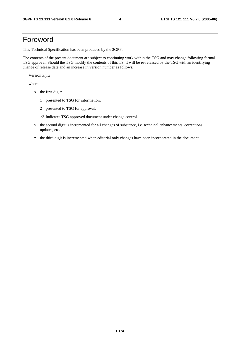### Foreword

This Technical Specification has been produced by the 3GPP.

The contents of the present document are subject to continuing work within the TSG and may change following formal TSG approval. Should the TSG modify the contents of this TS, it will be re-released by the TSG with an identifying change of release date and an increase in version number as follows:

Version x.y.z

where:

- x the first digit:
	- 1 presented to TSG for information;
	- 2 presented to TSG for approval;
	- $\geq$ 3 Indicates TSG approved document under change control.
- y the second digit is incremented for all changes of substance, i.e. technical enhancements, corrections, updates, etc.
- z the third digit is incremented when editorial only changes have been incorporated in the document.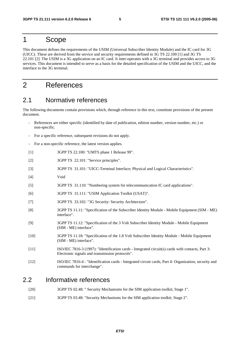### 1 Scope

This document defines the requirements of the USIM (Universal Subscriber Identity Module) and the IC card for 3G (UICC). These are derived from the service and security requirements defined in 3G TS 22.100 [1] and 3G TS 22.101 [2]. The USIM is a 3G application on an IC card. It inter-operates with a 3G terminal and provides access to 3G services. This document is intended to serve as a basis for the detailed specification of the USIM and the UICC, and the interface to the 3G terminal.

### 2 References

#### 2.1 Normative references

The following documents contain provisions which, through reference in this text, constitute provisions of the present document.

- References are either specific (identified by date of publication, edition number, version number, etc.) or non-specific.
- For a specific reference, subsequent revisions do not apply.
- For a non-specific reference, the latest version applies.
- [1] 3GPP TS 22.100: "UMTS phase 1 Release 99".
- [2] 3GPP TS 22.101: "Service principles".
- [3] 3GPP TS 31.101: "UICC-Terminal Interface; Physical and Logical Characteristics".
- [4] Void
- [5] 3GPP TS 31.110: "Numbering system for telecommunication IC card applications".
- [6] 3GPP TS 31.111: "USIM Application Toolkit (USAT)".
- [7] 3GPP TS 33.102: "3G Security: Security Architecture".
- [8] 3GPP TS 11.11: "Specification of the Subscriber Identity Module Mobile Equipment (SIM ME) interface".
- [9] 3GPP TS 11.12: "Specification of the 3 Volt Subscriber Identity Module Mobile Equipment (SIM - ME) interface".
- [10] 3GPP TS 11.18: "Specification of the 1.8 Volt Subscriber Identity Module Mobile Equipment (SIM - ME) interface".
- [11] ISO/IEC 7816-3 (1997): "Identification cards Integrated circuit(s) cards with contacts, Part 3: Electronic signals and transmission protocols".
- [12] ISO/IEC 7816-4 : "Identification cards Integrated circuit cards, Part 4: Organization, security and commands for interchange".

#### 2.2 Informative references

- [20] 3GPP TS 02.48: " Security Mechanisms for the SIM application toolkit; Stage 1".
- [21] 3GPP TS 03.48: "Security Mechanisms for the SIM application toolkit; Stage 2".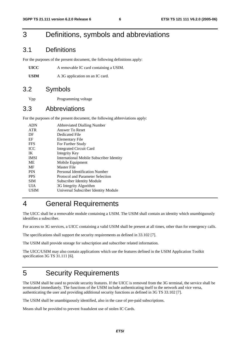### 3 Definitions, symbols and abbreviations

#### 3.1 Definitions

For the purposes of the present document, the following definitions apply:

| UICC | A removable IC card containing a USIM. |
|------|----------------------------------------|
|------|----------------------------------------|

USIM A 3G application on an IC card.

#### 3.2 Symbols

Vpp Programming voltage

#### 3.3 Abbreviations

For the purposes of the present document, the following abbreviations apply:

| <b>ADN</b>  | <b>Abbreviated Dialling Number</b>              |
|-------------|-------------------------------------------------|
| <b>ATR</b>  | Answer To Reset                                 |
| DF          | Dedicated File                                  |
| EF          | Elementary File                                 |
| <b>FFS</b>  | For Further Study                               |
| <b>ICC</b>  | <b>Integrated Circuit Card</b>                  |
| IK          | Integrity Key                                   |
| <b>IMSI</b> | <b>International Mobile Subscriber Identity</b> |
| ME          | Mobile Equipment                                |
| MF          | Master File                                     |
| <b>PIN</b>  | Personal Identification Number                  |
| <b>PPS</b>  | Protocol and Parameter Selection                |
| <b>SIM</b>  | <b>Subscriber Identity Module</b>               |
| UІА         | 3G Integrity Algorithm                          |
| USIM        | Universal Subscriber Identity Module            |
|             |                                                 |

# 4 General Requirements

The UICC shall be a removable module containing a USIM. The USIM shall contain an identity which unambiguously identifies a subscriber.

For access to 3G services, a UICC containing a valid USIM shall be present at all times, other than for emergency calls.

The specifications shall support the security requirements as defined in 33.102 [7].

The USIM shall provide storage for subscription and subscriber related information.

The UICC/USIM may also contain applications which use the features defined in the USIM Application Toolkit specification 3G TS 31.111 [6].

# 5 Security Requirements

The USIM shall be used to provide security features. If the UICC is removed from the 3G terminal, the service shall be terminated immediately. The functions of the USIM include authenticating itself to the network and vice versa, authenticating the user and providing additional security functions as defined in 3G TS 33.102 [7].

The USIM shall be unambiguously identified, also in the case of pre-paid subscriptions.

Means shall be provided to prevent fraudulent use of stolen IC Cards.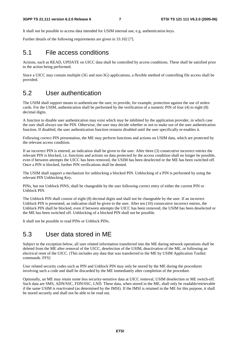It shall not be possible to access data intended for USIM internal use, e.g. authentication keys.

Further details of the following requirements are given in 33.102 [7].

#### 5.1 File access conditions

Actions, such as READ, UPDATE on UICC data shall be controlled by access conditions. These shall be satisfied prior to the action being performed.

Since a UICC may contain multiple (3G and non-3G) applications, a flexible method of controlling file access shall be provided.

#### 5.2 User authentication

The USIM shall support means to authenticate the user, to provide, for example, protection against the use of stolen cards. For the USIM, authentication shall be performed by the verification of a numeric PIN of four (4) to eight (8) decimal digits.

A function to disable user authentication may exist which may be inhibited by the application provider, in which case the user shall always use the PIN. Otherwise, the user may decide whether or not to make use of the user authentication function. If disabled, the user authentication function remains disabled until the user specifically re-enables it.

Following correct PIN presentation, the ME may perform functions and actions on USIM data, which are protected by the relevant access condition.

If an incorrect PIN is entered, an indication shall be given to the user. After three (3) consecutive incorrect entries the relevant PIN is blocked, i.e. functions and actions on data protected by the access condition shall no longer be possible, even if between attempts the UICC has been removed, the USIM has been deselected or the ME has been switched off. Once a PIN is blocked, further PIN verifications shall be denied.

The USIM shall support a mechanism for unblocking a blocked PIN. Unblocking of a PIN is performed by using the relevant PIN Unblocking Key.

PINs, but not Unblock PINS, shall be changeable by the user following correct entry of either the current PIN or Unblock PIN.

The Unblock PIN shall consist of eight (8) decimal digits and shall not be changeable by the user. If an incorrect Unblock PIN is presented, an indication shall be given to the user. After ten (10) consecutive incorrect entries, the Unblock PIN shall be blocked, even if between attempts the UICC has been removed, the USIM has been deselected or the ME has been switched off. Unblocking of a blocked PIN shall not be possible.

It shall not be possible to read PINs or Unblock PINs.

#### 5.3 User data stored in ME

Subject to the exception below, all user related information transferred into the ME during network operations shall be deleted from the ME after removal of the UICC, deselection of the USIM, deactivation of the ME, or following an electrical reset of the UICC. [This includes any data that was transferred to the ME by USIM Application Toolkit commands. FFS]

User related security codes such as PIN and Unblock PIN may only be stored by the ME during the procedures involving such a code and shall be discarded by the ME immediately after completion of the procedure.

Optionally, an ME may retain some less security-sensitive data at UICC removal, USIM deselection or ME switch-off. Such data are SMS, ADN/SSC, FDN/SSC, LND. These data, when stored in the ME, shall only be readable/retrievable if the same USIM is reactivated (as determined by the IMSI). If the IMSI is retained in the ME for this purpose, it shall be stored securely and shall not be able to be read out.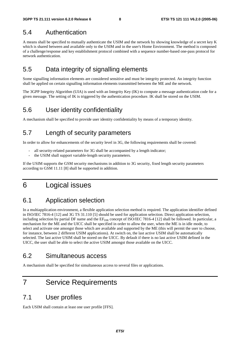#### 5.4 Authentication

A means shall be specified to mutually authenticate the USIM and the network by showing knowledge of a secret key K which is shared between and available only to the USIM and in the user's Home Environment. The method is composed of a challenge/response and key establishment protocol combined with a sequence number-based one-pass protocol for network authentication.

### 5.5 Data integrity of signalling elements

Some signalling information elements are considered sensitive and must be integrity protected. An integrity function shall be applied on certain signalling information elements transmitted between the ME and the network.

The 3GPP Integrity Algorithm (UIA) is used with an Integrity Key (IK) to compute a message authentication code for a given message. The setting of IK is triggered by the authentication procedure. IK shall be stored on the USIM.

#### 5.6 User identity confidentiality

A mechanism shall be specified to provide user identity confidentiality by means of a temporary identity.

#### 5.7 Length of security parameters

In order to allow for enhancements of the security level in 3G, the following requirements shall be covered:

- all security-related parameters for 3G shall be accompanied by a length indicator;
- the USIM shall support variable-length security parameters.

If the USIM supports the GSM security mechanisms in addition to 3G security, fixed length security parameters according to GSM 11.11 [8] shall be supported in addition.

### 6 Logical issues

### 6.1 Application selection

In a multiapplication environment, a flexible application selection method is required. The application identifier defined in ISO/IEC 7816-4 [12] and 3G TS 31.110 [5] should be used for application selection. Direct application selection, including selection by partial DF name and the  $EF_{\text{DIR}}$  concept of ISO/IEC 7816-4 [12] shall be followed. In particular, a mechanism for the ME and the UICC shall be specified in order to allow the user, when the ME is in idle mode, to select and activate one amongst those which are available and supported by the ME (this will permit the user to choose, for instance, between 2 different USIM applications). At switch on, the last active USIM shall be automatically selected. The last active USIM shall be stored on the UICC. By default if there is no last active USIM defined in the UICC, the user shall be able to select the active USIM amongst those available on the UICC.

#### 6.2 Simultaneous access

A mechanism shall be specified for simultaneous access to several files or applications.

### 7 Service Requirements

#### 7.1 User profiles

Each USIM shall contain at least one user profile [FFS].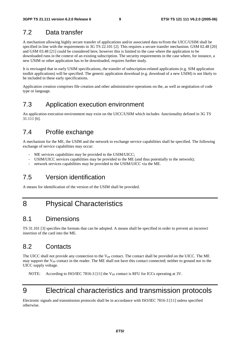#### 7.2 Data transfer

A mechanism allowing highly secure transfer of applications and/or associated data to/from the UICC/USIM shall be specified in line with the requirements in 3G TS 22.101 [2]. This requires a secure transfer mechanism. GSM 02.48 [20] and GSM 03.48 [21] could be considered here, however this is limited to the case where the application to be downloaded runs in the context of an existing subscription. The security requirements in the case where, for instance, a new USIM or other application has to be downloaded, requires further study.

It is envisaged that in early USIM specifications, the transfer of subscription-related applications (e.g. SIM application toolkit applications) will be specified. The generic application download (e.g. download of a new USIM) is not likely to be included in these early specifications.

Application creation comprises file creation and other administrative operations on the, as well as negotiation of code type or language.

### 7.3 Application execution environment

An application execution environment may exist on the UICC/USIM which includes functionality defined in 3G TS 31.111 [6].

#### 7.4 Profile exchange

A mechanism for the ME, the USIM and the network to exchange service capabilities shall be specified. The following exchange of service capabilities may occur:

- ME services capabilities may be provided to the USIM/UICC;
- USIM/UICC services capabilities may be provided to the ME (and thus potentially to the network);
- network services capabilities may be provided to the USIM/UICC via the ME.

### 7.5 Version identification

A means for identification of the version of the USIM shall be provided.

### 8 Physical Characteristics

#### 8.1 Dimensions

TS 31.101 [3] specifies the formats that can be adopted. A means shall be specified in order to prevent an incorrect insertion of the card into the ME.

### 8.2 Contacts

The UICC shall not provide any connection to the  $V_{PP}$  contact. The contact shall be provided on the UICC. The ME may support the V<sub>PP</sub> contact in the reader. The ME shall not have this contact connected; neither to ground nor to the UICC supply voltage.

NOTE: According to ISO/IEC 7816-3 [11] the  $V_{PP}$  contact is RFU for ICCs operating at 3V.

# 9 Electrical characteristics and transmission protocols

Electronic signals and transmission protocols shall be in accordance with ISO/IEC 7816-3 [11] unless specified otherwise.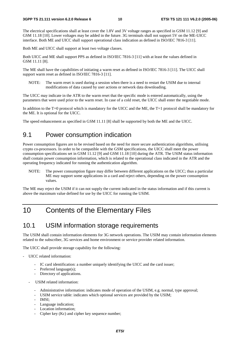The electrical specifications shall at least cover the 1.8V and 3V voltage ranges as specified in GSM 11.12 [9] and GSM 11.18 [10]. Lower voltages may be added in the future. 3G terminals shall not support 5V on the ME-UICC interface. Both ME and UICC shall support operational class indication as defined in ISO/IEC 7816-3 [11].

Both ME and UICC shall support at least two voltage classes.

Both UICC and ME shall support PPS as defined in ISO/IEC 7816-3 [11] with at least the values defined in GSM 11.11 [8].

The ME shall have the capabilities of initiating a warm reset as defined in ISO/IEC 7816-3 [11]. The UICC shall support warm reset as defined in ISO/IEC 7816-3 [11].

NOTE: The warm reset is used during a session when there is a need to restart the USIM due to internal modifications of data caused by user actions or network data downloading.

The UICC may indicate in the ATR to the warm reset that the specific mode is entered automatically, using the parameters that were used prior to the warm reset. In case of a cold reset, the UICC shall enter the negotiable mode.

In addition to the  $T=0$  protocol which is mandatory for the UICC and the ME, the  $T=1$  protocol shall be mandatory for the ME. It is optional for the UICC.

The speed enhancement as specified in GSM 11.11 [8] shall be supported by both the ME and the UICC.

#### 9.1 Power consumption indication

Power consumption figures are to be revised based on the need for more secure authentication algorithms, utilising crypto co-processors. In order to be compatible with the GSM specifications, the UICC shall meet the power consumption specifications set in GSM 11.12 [9] and GSM 11.18 [10] during the ATR. The USIM status information shall contain power consumption information, which is related to the operational class indicated in the ATR and the operating frequency indicated for running the authentication algorithm.

NOTE: The power consumption figure may differ between different applications on the UICC; thus a particular ME may support some applications in a card and reject others, depending on the power consumption values.

The ME may reject the USIM if it can not supply the current indicated in the status information and if this current is above the maximum value defined for use by the UICC for running the USIM.

### 10 Contents of the Elementary Files

#### 10.1 USIM information storage requirements

The USIM shall contain information elements for 3G network operations. The USIM may contain information elements related to the subscriber, 3G services and home environment or service provider related information.

The UICC shall provide storage capability for the following:

- UICC related information:
	- IC card identification: a number uniquely identifying the UICC and the card issuer;
	- Preferred language(s);
	- Directory of applications.
	- USIM related information:
		- Administrative information: indicates mode of operation of the USIM, e.g. normal, type approval;
		- USIM service table: indicates which optional services are provided by the USIM;
		- IMSI;
		- Language indication;
		- Location information;
		- Cipher key (Kc) and cipher key sequence number;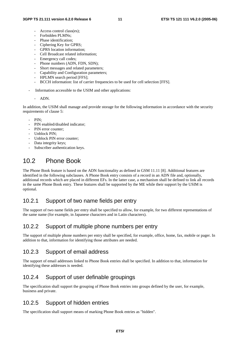- Access control class(es):
- Forbidden PLMNs:
- Phase identification;
- Ciphering Key for GPRS;
- GPRS location information;
- Cell Broadcast related information;
- Emergency call codes;
- Phone numbers (ADN, FDN, SDN);
- Short messages and related parameters;
- Capability and Configuration parameters;
- HPLMN search period [FFS];
- BCCH information: list of carrier frequencies to be used for cell selection [FFS].
- Information accessible to the USIM and other applications:

#### - ADN.

In addition, the USIM shall manage and provide storage for the following information in accordance with the security requirements of clause 5:

- $PIN$
- PIN enabled/disabled indicator;
- PIN error counter:
- Unblock PIN;
- Unblock PIN error counter:
- Data integrity keys;
- Subscriber authentication keys.

### 10.2 Phone Book

The Phone Book feature is based on the ADN functionality as defined in GSM 11.11 [8]. Additional features are identified in the following subclauses. A Phone Book entry consists of a record in an ADN file and, optionally, additional records which are placed in different EFs. In the latter case, a mechanism shall be defined to link all records in the same Phone Book entry. These features shall be supported by the ME while their support by the USIM is optional.

#### 10.2.1 Support of two name fields per entry

The support of two name fields per entry shall be specified to allow, for example, for two different representations of the same name (for example, in Japanese characters and in Latin characters).

#### 10.2.2 Support of multiple phone numbers per entry

The support of multiple phone numbers per entry shall be specified, for example, office, home, fax, mobile or pager. In addition to that, information for identifying those attributes are needed.

#### 10.2.3 Support of email address

The support of email addresses linked to Phone Book entries shall be specified. In addition to that, information for identifying these addresses is needed.

#### 10.2.4 Support of user definable groupings

The specification shall support the grouping of Phone Book entries into groups defined by the user, for example, business and private.

#### 10.2.5 Support of hidden entries

The specification shall support means of marking Phone Book entries as "hidden".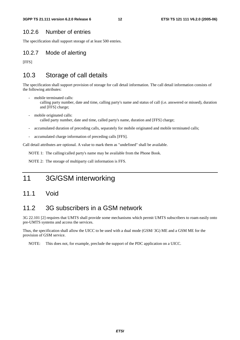#### 10.2.6 Number of entries

The specification shall support storage of at least 500 entries.

#### 10.2.7 Mode of alerting

[FFS]

#### 10.3 Storage of call details

The specification shall support provision of storage for call detail information. The call detail information consists of the following attributes:

- mobile terminated calls:
	- calling party number, date and time, calling party's name and status of call (i.e. answered or missed), duration and [FFS] charge;
- mobile originated calls: called party number, date and time, called party's name, duration and [FFS] charge;
- accumulated duration of preceding calls, separately for mobile originated and mobile terminated calls;
- accumulated charge information of preceding calls [FFS].

Call detail attributes are optional. A value to mark them as "undefined" shall be available.

NOTE 1: The calling/called party's name may be available from the Phone Book.

NOTE 2: The storage of multiparty call information is FFS.

### 11 3G/GSM interworking

#### 11.1 Void

#### 11.2 3G subscribers in a GSM network

3G 22.101 [2] requires that UMTS shall provide some mechanisms which permit UMTS subscribers to roam easily onto pre-UMTS systems and access the services.

Thus, the specification shall allow the UICC to be used with a dual mode (GSM/ 3G) ME and a GSM ME for the provision of GSM service.

NOTE: This does not, for example, preclude the support of the PDC application on a UICC.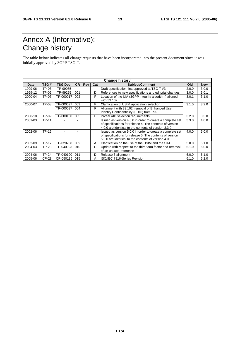# Annex A (Informative): Change history

The table below indicates all change requests that have been incorporated into the present document since it was initially approved by 3GPP TSG-T.

|         | <b>Change history</b> |                 |           |            |     |                                                                                                                                                                               |       |            |
|---------|-----------------------|-----------------|-----------|------------|-----|-------------------------------------------------------------------------------------------------------------------------------------------------------------------------------|-------|------------|
| Date    | TSG#                  | <b>TSG Doc.</b> | <b>CR</b> | <b>Rev</b> | Cat | <b>Subject/Comment</b>                                                                                                                                                        | Old   | <b>New</b> |
| 1999-06 | TP-03                 | TP-99085        |           |            |     | Draft specification first approved at TSG-T #3                                                                                                                                | 2.0.0 | 3.0.0      |
| 1999-12 | TP-06                 | TP-99255        | 001       |            | D   | References to new specifications and editorial changes                                                                                                                        | 3.0.0 | 3.0.1      |
| 2000-04 | TP-07                 | TP-000017       | 002       |            | F   | Location of the UIA (3GPP integrity algorithm) aligned<br>with 33.102                                                                                                         | 3.0.1 | 3.1.0      |
| 2000-07 | TP-08                 | TP-000097       | 003       |            | F   | Clarification of USIM application selection                                                                                                                                   | 3.1.0 | 3.2.0      |
|         |                       | TP-000097       | 004       |            | F   | Alignment with 33.102: removal of Enhanced User<br>Identity Confidentiality (EUIC) from R99                                                                                   |       |            |
| 2000-10 | TP-09                 | TP-000150       | 005       |            | F   | Partial AID selection requirements                                                                                                                                            | 3.2.0 | 3.3.0      |
| 2001-03 | <b>TP-11</b>          |                 |           |            |     | Issued as version 4.0.0 in order to create a complete set<br>of specifications for release 4. The contents of version<br>4.0.0 are identical to the contents of version 3.3.0 | 3.3.0 | 4.0.0      |
| 2002-06 | TP-16                 |                 |           |            |     | Issued as version 5.0.0 in order to create a complete set<br>of specifications for release 5. The contents of version<br>5.0.0 are identical to the contents of version 4.0.0 | 4.0.0 | 5.0.0      |
| 2002-09 | <b>TP-17</b>          | TP-020208       | 009       |            | A   | Clarification on the use of the USIM and the SIM                                                                                                                              | 5.0.0 | 5.1.0      |
| 2004-03 | TP-23                 | TP-040023       | 010       |            | C   | Update with respect to the third form factor and removal<br>of an unused reference                                                                                            | 5.1.0 | 6.0.0      |
| 2004-06 | <b>TP-24</b>          | TP-040100       | 011       |            | D   | Release 6 alignment                                                                                                                                                           | 6.0.0 | 6.1.0      |
| 2005-06 | CP-28                 | CP-050136       | 015       |            | A   | ISO/IEC 7816-Series Revision                                                                                                                                                  | 6.1.0 | 6.2.0      |